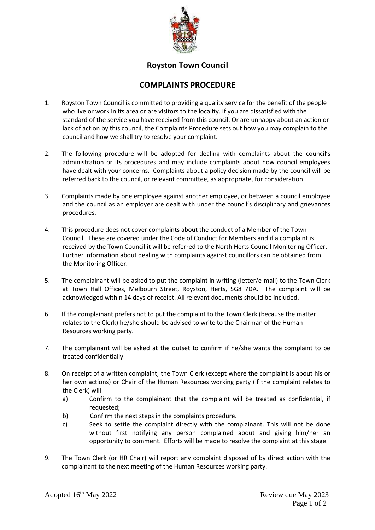

## **Royston Town Council**

## **COMPLAINTS PROCEDURE**

- 1. Royston Town Council is committed to providing a quality service for the benefit of the people who live or work in its area or are visitors to the locality. If you are dissatisfied with the standard of the service you have received from this council. Or are unhappy about an action or lack of action by this council, the Complaints Procedure sets out how you may complain to the council and how we shall try to resolve your complaint.
- 2. The following procedure will be adopted for dealing with complaints about the council's administration or its procedures and may include complaints about how council employees have dealt with your concerns. Complaints about a policy decision made by the council will be referred back to the council, or relevant committee, as appropriate, for consideration.
- 3. Complaints made by one employee against another employee, or between a council employee and the council as an employer are dealt with under the council's disciplinary and grievances procedures.
- 4. This procedure does not cover complaints about the conduct of a Member of the Town Council. These are covered under the Code of Conduct for Members and if a complaint is received by the Town Council it will be referred to the North Herts Council Monitoring Officer. Further information about dealing with complaints against councillors can be obtained from the Monitoring Officer.
- 5. The complainant will be asked to put the complaint in writing (letter/e-mail) to the Town Clerk at Town Hall Offices, Melbourn Street, Royston, Herts, SG8 7DA. The complaint will be acknowledged within 14 days of receipt. All relevant documents should be included.
- 6. If the complainant prefers not to put the complaint to the Town Clerk (because the matter relates to the Clerk) he/she should be advised to write to the Chairman of the Human Resources working party.
- 7. The complainant will be asked at the outset to confirm if he/she wants the complaint to be treated confidentially.
- 8. On receipt of a written complaint, the Town Clerk (except where the complaint is about his or her own actions) or Chair of the Human Resources working party (if the complaint relates to the Clerk) will:
	- a) Confirm to the complainant that the complaint will be treated as confidential, if requested;
	- b) Confirm the next steps in the complaints procedure.
	- c) Seek to settle the complaint directly with the complainant. This will not be done without first notifying any person complained about and giving him/her an opportunity to comment. Efforts will be made to resolve the complaint at this stage.
- 9. The Town Clerk (or HR Chair) will report any complaint disposed of by direct action with the complainant to the next meeting of the Human Resources working party.